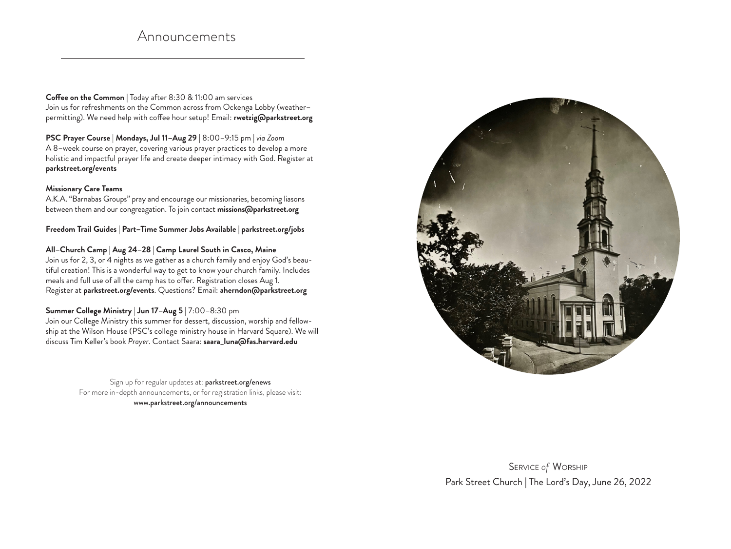## Announcements

**Coffee on the Common** | Today after 8:30 & 11:00 am services Join us for refreshments on the Common across from Ockenga Lobby (weather– permitting). We need help with coffee hour setup! Email: **rwetzig@parkstreet.org**

**PSC Prayer Course** | **Mondays, Jul 11–Aug 29** | 8:00–9:15 pm | *via Zoom* A 8–week course on prayer, covering various prayer practices to develop a more holistic and impactful prayer life and create deeper intimacy with God. Register at **parkstreet.org/events**

## **Missionary Care Teams**

A.K.A. "Barnabas Groups" pray and encourage our missionaries, becoming liasons between them and our congreagation. To join contact **missions@parkstreet.org** 

**Freedom Trail Guides | Part–Time Summer Jobs Available | parkstreet.org/jobs**

**All–Church Camp | Aug 24–28 | Camp Laurel South in Casco, Maine**

Join us for 2, 3, or 4 nights as we gather as a church family and enjoy God's beautiful creation! This is a wonderful way to get to know your church family. Includes meals and full use of all the camp has to offer. Registration closes Aug 1. Register at **parkstreet.org/events**. Questions? Email: **aherndon@parkstreet.org**

## **Summer College Ministry** | **Jun 17–Aug 5** | 7:00–8:30 pm

Join our College Ministry this summer for dessert, discussion, worship and fellowship at the Wilson House (PSC's college ministry house in Harvard Square). We will discuss Tim Keller's book *Prayer*. Contact Saara: **saara\_luna@fas.harvard.edu**

> Sign up for regular updates at: parkstreet.org/enews For more in-depth announcements, or for registration links, please visit: www.parkstreet.org/announcements



Service *of* Worship Park Street Church | The Lord's Day, June 26, 2022